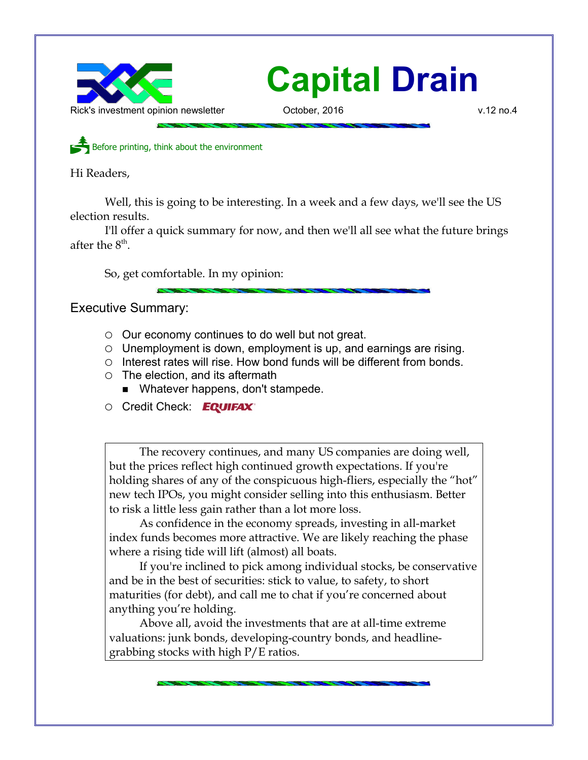

Before printing, think about the environment

Hi Readers,

Well, this is going to be interesting. In a week and a few days, we'll see the US election results.

I'll offer a quick summary for now, and then we'll all see what the future brings after the  $8<sup>th</sup>$ .

So, get comfortable. In my opinion:

Executive Summary:

- $\circ$  Our economy continues to do well but not great.
- Unemployment is down, employment is up, and earnings are rising.
- Interest rates will rise. How bond funds will be different from bonds.
- The election, and its aftermath
	- Whatever happens, don't stampede.
- Credit Check: EQUIFAX®

The recovery continues, and many US companies are doing well, but the prices reflect high continued growth expectations. If you're holding shares of any of the conspicuous high-fliers, especially the "hot" new tech IPOs, you might consider selling into this enthusiasm. Better to risk a little less gain rather than a lot more loss.

As confidence in the economy spreads, investing in all-market index funds becomes more attractive. We are likely reaching the phase where a rising tide will lift (almost) all boats.

If you're inclined to pick among individual stocks, be conservative and be in the best of securities: stick to value, to safety, to short maturities (for debt), and call me to chat if you're concerned about anything you're holding.

Above all, avoid the investments that are at all-time extreme valuations: junk bonds, developing-country bonds, and headlinegrabbing stocks with high P/E ratios.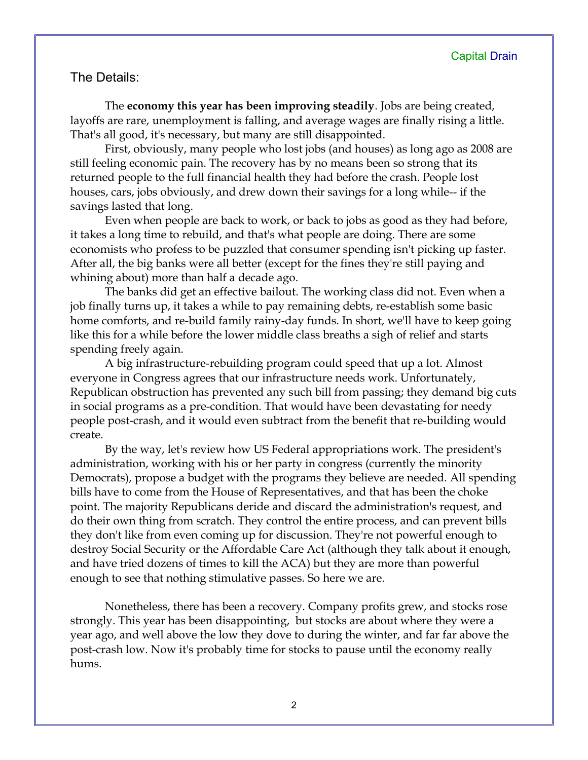# The Details:

The **economy this year has been improving steadily**. Jobs are being created, layoffs are rare, unemployment is falling, and average wages are finally rising a little. That's all good, it's necessary, but many are still disappointed.

First, obviously, many people who lost jobs (and houses) as long ago as 2008 are still feeling economic pain. The recovery has by no means been so strong that its returned people to the full financial health they had before the crash. People lost houses, cars, jobs obviously, and drew down their savings for a long while-- if the savings lasted that long.

Even when people are back to work, or back to jobs as good as they had before, it takes a long time to rebuild, and that's what people are doing. There are some economists who profess to be puzzled that consumer spending isn't picking up faster. After all, the big banks were all better (except for the fines they're still paying and whining about) more than half a decade ago.

The banks did get an effective bailout. The working class did not. Even when a job finally turns up, it takes a while to pay remaining debts, re-establish some basic home comforts, and re-build family rainy-day funds. In short, we'll have to keep going like this for a while before the lower middle class breaths a sigh of relief and starts spending freely again.

A big infrastructure-rebuilding program could speed that up a lot. Almost everyone in Congress agrees that our infrastructure needs work. Unfortunately, Republican obstruction has prevented any such bill from passing; they demand big cuts in social programs as a pre-condition. That would have been devastating for needy people post-crash, and it would even subtract from the benefit that re-building would create.

By the way, let's review how US Federal appropriations work. The president's administration, working with his or her party in congress (currently the minority Democrats), propose a budget with the programs they believe are needed. All spending bills have to come from the House of Representatives, and that has been the choke point. The majority Republicans deride and discard the administration's request, and do their own thing from scratch. They control the entire process, and can prevent bills they don't like from even coming up for discussion. They're not powerful enough to destroy Social Security or the Affordable Care Act (although they talk about it enough, and have tried dozens of times to kill the ACA) but they are more than powerful enough to see that nothing stimulative passes. So here we are.

Nonetheless, there has been a recovery. Company profits grew, and stocks rose strongly. This year has been disappointing, but stocks are about where they were a year ago, and well above the low they dove to during the winter, and far far above the post-crash low. Now it's probably time for stocks to pause until the economy really hums.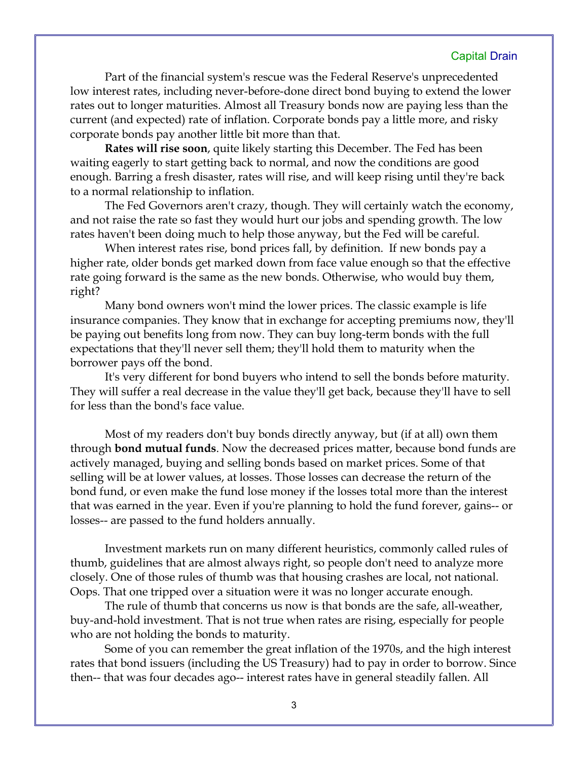Part of the financial system's rescue was the Federal Reserve's unprecedented low interest rates, including never-before-done direct bond buying to extend the lower rates out to longer maturities. Almost all Treasury bonds now are paying less than the current (and expected) rate of inflation. Corporate bonds pay a little more, and risky corporate bonds pay another little bit more than that.

**Rates will rise soon**, quite likely starting this December. The Fed has been waiting eagerly to start getting back to normal, and now the conditions are good enough. Barring a fresh disaster, rates will rise, and will keep rising until they're back to a normal relationship to inflation.

The Fed Governors aren't crazy, though. They will certainly watch the economy, and not raise the rate so fast they would hurt our jobs and spending growth. The low rates haven't been doing much to help those anyway, but the Fed will be careful.

When interest rates rise, bond prices fall, by definition. If new bonds pay a higher rate, older bonds get marked down from face value enough so that the effective rate going forward is the same as the new bonds. Otherwise, who would buy them, right?

Many bond owners won't mind the lower prices. The classic example is life insurance companies. They know that in exchange for accepting premiums now, they'll be paying out benefits long from now. They can buy long-term bonds with the full expectations that they'll never sell them; they'll hold them to maturity when the borrower pays off the bond.

It's very different for bond buyers who intend to sell the bonds before maturity. They will suffer a real decrease in the value they'll get back, because they'll have to sell for less than the bond's face value.

Most of my readers don't buy bonds directly anyway, but (if at all) own them through **bond mutual funds**. Now the decreased prices matter, because bond funds are actively managed, buying and selling bonds based on market prices. Some of that selling will be at lower values, at losses. Those losses can decrease the return of the bond fund, or even make the fund lose money if the losses total more than the interest that was earned in the year. Even if you're planning to hold the fund forever, gains-- or losses-- are passed to the fund holders annually.

Investment markets run on many different heuristics, commonly called rules of thumb, guidelines that are almost always right, so people don't need to analyze more closely. One of those rules of thumb was that housing crashes are local, not national. Oops. That one tripped over a situation were it was no longer accurate enough.

The rule of thumb that concerns us now is that bonds are the safe, all-weather, buy-and-hold investment. That is not true when rates are rising, especially for people who are not holding the bonds to maturity.

Some of you can remember the great inflation of the 1970s, and the high interest rates that bond issuers (including the US Treasury) had to pay in order to borrow. Since then-- that was four decades ago-- interest rates have in general steadily fallen. All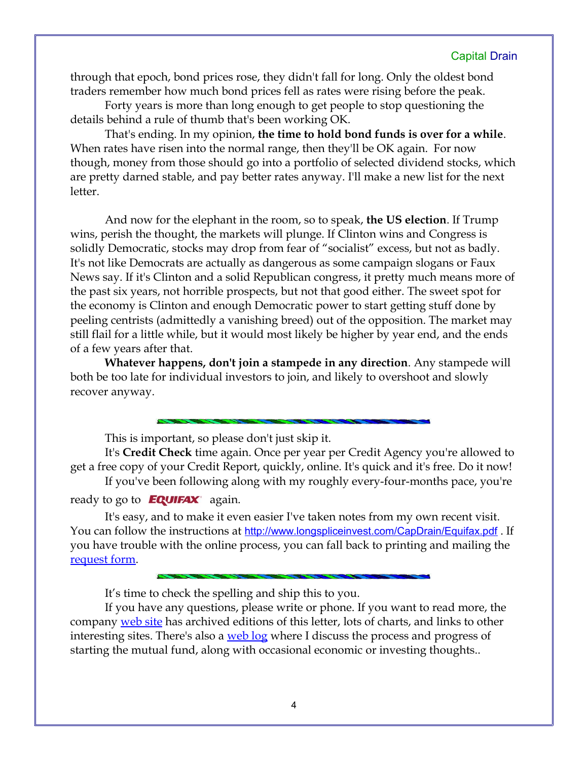through that epoch, bond prices rose, they didn't fall for long. Only the oldest bond traders remember how much bond prices fell as rates were rising before the peak.

Forty years is more than long enough to get people to stop questioning the details behind a rule of thumb that's been working OK.

That's ending. In my opinion, **the time to hold bond funds is over for a while**. When rates have risen into the normal range, then they'll be OK again. For now though, money from those should go into a portfolio of selected dividend stocks, which are pretty darned stable, and pay better rates anyway. I'll make a new list for the next letter.

And now for the elephant in the room, so to speak, **the US election**. If Trump wins, perish the thought, the markets will plunge. If Clinton wins and Congress is solidly Democratic, stocks may drop from fear of "socialist" excess, but not as badly. It's not like Democrats are actually as dangerous as some campaign slogans or Faux News say. If it's Clinton and a solid Republican congress, it pretty much means more of the past six years, not horrible prospects, but not that good either. The sweet spot for the economy is Clinton and enough Democratic power to start getting stuff done by peeling centrists (admittedly a vanishing breed) out of the opposition. The market may still flail for a little while, but it would most likely be higher by year end, and the ends of a few years after that.

**Whatever happens, don't join a stampede in any direction**. Any stampede will both be too late for individual investors to join, and likely to overshoot and slowly recover anyway.

This is important, so please don't just skip it.

It's **Credit Check** time again. Once per year per Credit Agency you're allowed to get a free copy of your Credit Report, quickly, online. It's quick and it's free. Do it now!

If you've been following along with my roughly every-four-months pace, you're ready to go to  $EQUIFAX$  again.

It's easy, and to make it even easier I've taken notes from my own recent visit. You can follow the instructions at <http://www.longspliceinvest.com/CapDrain/Equifax.pdf>. If you have trouble with the online process, you can fall back to printing and mailing the [request form.](https://www.annualcreditreport.com/cra/requestformfinal.pdf)

It's time to check the spelling and ship this to you.

If you have any questions, please write or phone. If you want to read more, the company [web site](http://www.LongspliceInvest.com/newsletter.shtml) has archived editions of this letter, lots of charts, and links to other interesting sites. There's also a [web log](http://www.LongspliceInvestments.com/ricksblog) where I discuss the process and progress of starting the mutual fund, along with occasional economic or investing thoughts..